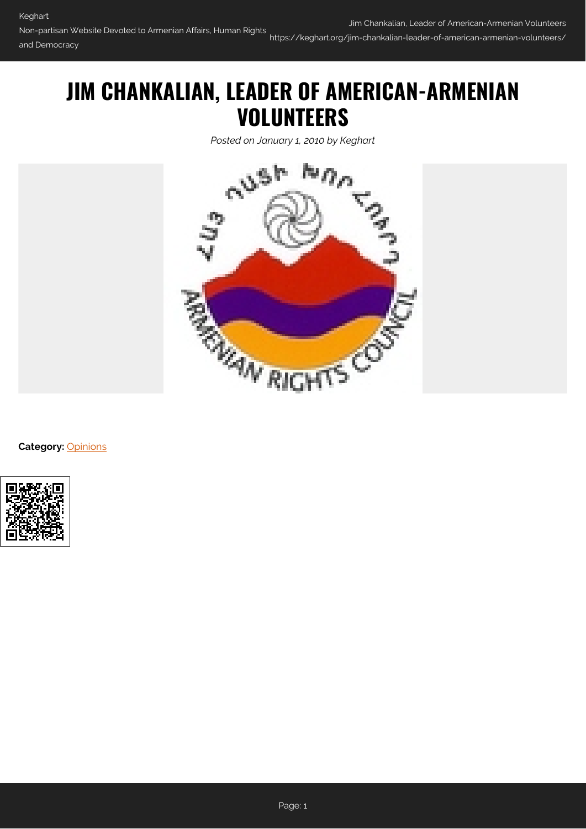## **JIM CHANKALIAN, LEADER OF AMERICAN-ARMENIAN VOLUNTEERS**

*Posted on January 1, 2010 by Keghart*



**Category:** [Opinions](https://keghart.org/category/opinions/)

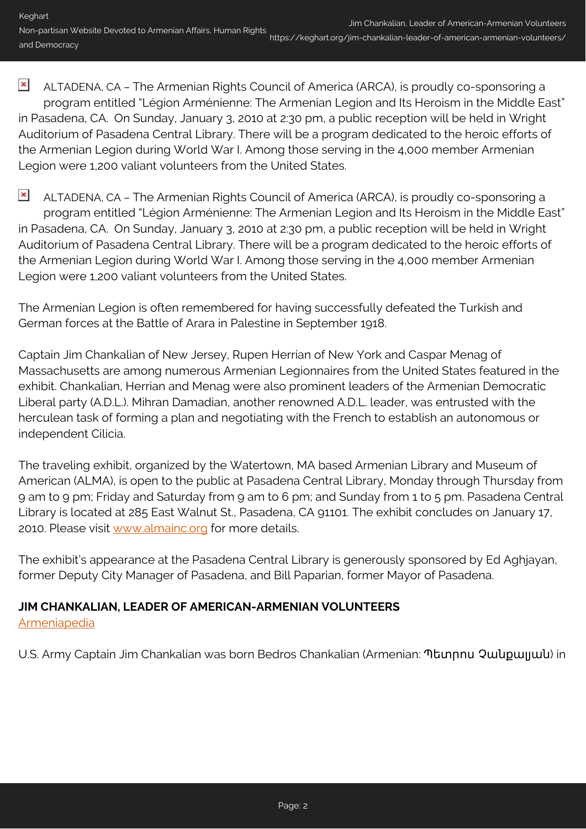$\pmb{\times}$ ALTADENA, CA – The Armenian Rights Council of America (ARCA), is proudly co-sponsoring a program entitled "Légion Arménienne: The Armenian Legion and Its Heroism in the Middle East" in Pasadena, CA. On Sunday, January 3, 2010 at 2:30 pm, a public reception will be held in Wright Auditorium of Pasadena Central Library. There will be a program dedicated to the heroic efforts of the Armenian Legion during World War I. Among those serving in the 4,000 member Armenian Legion were 1,200 valiant volunteers from the United States.

 $\pmb{\times}$ ALTADENA, CA – The Armenian Rights Council of America (ARCA), is proudly co-sponsoring a program entitled "Légion Arménienne: The Armenian Legion and Its Heroism in the Middle East" in Pasadena, CA. On Sunday, January 3, 2010 at 2:30 pm, a public reception will be held in Wright Auditorium of Pasadena Central Library. There will be a program dedicated to the heroic efforts of the Armenian Legion during World War I. Among those serving in the 4,000 member Armenian Legion were 1,200 valiant volunteers from the United States.

The Armenian Legion is often remembered for having successfully defeated the Turkish and German forces at the Battle of Arara in Palestine in September 1918.

Captain Jim Chankalian of New Jersey, Rupen Herrian of New York and Caspar Menag of Massachusetts are among numerous Armenian Legionnaires from the United States featured in the exhibit. Chankalian, Herrian and Menag were also prominent leaders of the Armenian Democratic Liberal party (A.D.L.). Mihran Damadian, another renowned A.D.L. leader, was entrusted with the herculean task of forming a plan and negotiating with the French to establish an autonomous or independent Cilicia.

The traveling exhibit, organized by the Watertown, MA based Armenian Library and Museum of American (ALMA), is open to the public at Pasadena Central Library, Monday through Thursday from 9 am to 9 pm; Friday and Saturday from 9 am to 6 pm; and Sunday from 1 to 5 pm. Pasadena Central Library is located at 285 East Walnut St., Pasadena, CA 91101. The exhibit concludes on January 17, 2010. Please visit [www.almainc.org](http://www.almainc.org/) for more details.

The exhibit's appearance at the Pasadena Central Library is generously sponsored by Ed Aghjayan, former Deputy City Manager of Pasadena, and Bill Paparian, former Mayor of Pasadena.

## **JIM CHANKALIAN, LEADER OF AMERICAN-ARMENIAN VOLUNTEERS**

[Armeniapedia](http://www.armeniapedia.org/index.php?title=Jim_Chankalian)

U.S. Army Captain Jim Chankalian was born Bedros Chankalian (Armenian: Պետրոս Չանքալյան) in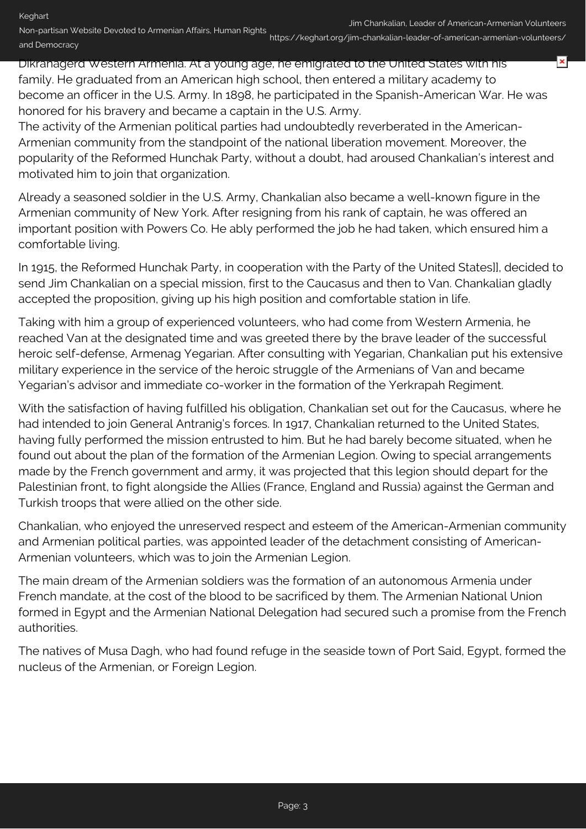×

Dikranagerd Western Armenia. At a young age, he emigrated to the United States with his family. He graduated from an American high school, then entered a military academy to become an officer in the U.S. Army. In 1898, he participated in the Spanish-American War. He was honored for his bravery and became a captain in the U.S. Army.

The activity of the Armenian political parties had undoubtedly reverberated in the American-Armenian community from the standpoint of the national liberation movement. Moreover, the popularity of the Reformed Hunchak Party, without a doubt, had aroused Chankalian's interest and motivated him to join that organization.

Already a seasoned soldier in the U.S. Army, Chankalian also became a well-known figure in the Armenian community of New York. After resigning from his rank of captain, he was offered an important position with Powers Co. He ably performed the job he had taken, which ensured him a comfortable living.

In 1915, the Reformed Hunchak Party, in cooperation with the Party of the United States]], decided to send Jim Chankalian on a special mission, first to the Caucasus and then to Van. Chankalian gladly accepted the proposition, giving up his high position and comfortable station in life.

Taking with him a group of experienced volunteers, who had come from Western Armenia, he reached Van at the designated time and was greeted there by the brave leader of the successful heroic self-defense, Armenag Yegarian. After consulting with Yegarian, Chankalian put his extensive military experience in the service of the heroic struggle of the Armenians of Van and became Yegarian's advisor and immediate co-worker in the formation of the Yerkrapah Regiment.

With the satisfaction of having fulfilled his obligation, Chankalian set out for the Caucasus, where he had intended to join General Antranig's forces. In 1917, Chankalian returned to the United States, having fully performed the mission entrusted to him. But he had barely become situated, when he found out about the plan of the formation of the Armenian Legion. Owing to special arrangements made by the French government and army, it was projected that this legion should depart for the Palestinian front, to fight alongside the Allies (France, England and Russia) against the German and Turkish troops that were allied on the other side.

Chankalian, who enjoyed the unreserved respect and esteem of the American-Armenian community and Armenian political parties, was appointed leader of the detachment consisting of American-Armenian volunteers, which was to join the Armenian Legion.

The main dream of the Armenian soldiers was the formation of an autonomous Armenia under French mandate, at the cost of the blood to be sacrificed by them. The Armenian National Union formed in Egypt and the Armenian National Delegation had secured such a promise from the French authorities.

The natives of Musa Dagh, who had found refuge in the seaside town of Port Said, Egypt, formed the nucleus of the Armenian, or Foreign Legion.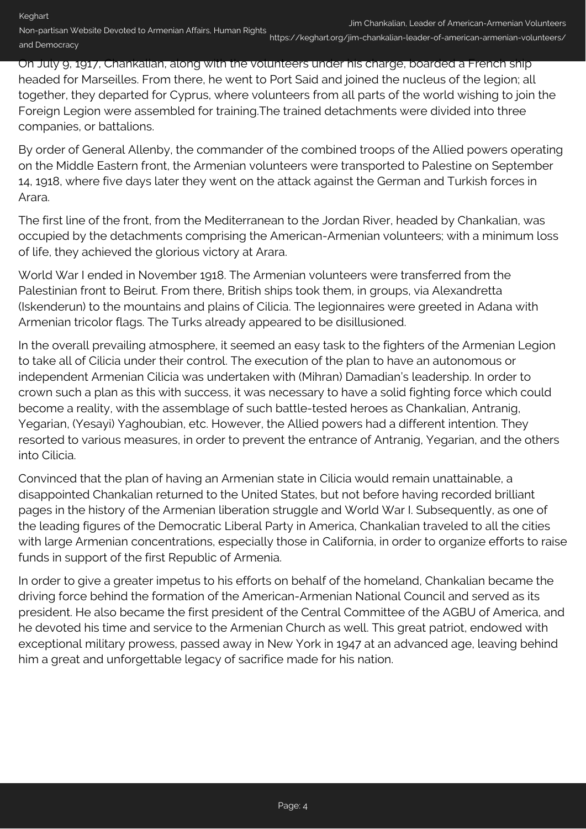On July 9, 1917, Chankalian, along with the volunteers under his charge, boarded a French ship headed for Marseilles. From there, he went to Port Said and joined the nucleus of the legion; all together, they departed for Cyprus, where volunteers from all parts of the world wishing to join the Foreign Legion were assembled for training.The trained detachments were divided into three companies, or battalions.

By order of General Allenby, the commander of the combined troops of the Allied powers operating on the Middle Eastern front, the Armenian volunteers were transported to Palestine on September 14, 1918, where five days later they went on the attack against the German and Turkish forces in Arara.

The first line of the front, from the Mediterranean to the Jordan River, headed by Chankalian, was occupied by the detachments comprising the American-Armenian volunteers; with a minimum loss of life, they achieved the glorious victory at Arara.

World War I ended in November 1918. The Armenian volunteers were transferred from the Palestinian front to Beirut. From there, British ships took them, in groups, via Alexandretta (Iskenderun) to the mountains and plains of Cilicia. The legionnaires were greeted in Adana with Armenian tricolor flags. The Turks already appeared to be disillusioned.

In the overall prevailing atmosphere, it seemed an easy task to the fighters of the Armenian Legion to take all of Cilicia under their control. The execution of the plan to have an autonomous or independent Armenian Cilicia was undertaken with (Mihran) Damadian's leadership. In order to crown such a plan as this with success, it was necessary to have a solid fighting force which could become a reality, with the assemblage of such battle-tested heroes as Chankalian, Antranig, Yegarian, (Yesayi) Yaghoubian, etc. However, the Allied powers had a different intention. They resorted to various measures, in order to prevent the entrance of Antranig, Yegarian, and the others into Cilicia.

Convinced that the plan of having an Armenian state in Cilicia would remain unattainable, a disappointed Chankalian returned to the United States, but not before having recorded brilliant pages in the history of the Armenian liberation struggle and World War I. Subsequently, as one of the leading figures of the Democratic Liberal Party in America, Chankalian traveled to all the cities with large Armenian concentrations, especially those in California, in order to organize efforts to raise funds in support of the first Republic of Armenia.

In order to give a greater impetus to his efforts on behalf of the homeland, Chankalian became the driving force behind the formation of the American-Armenian National Council and served as its president. He also became the first president of the Central Committee of the AGBU of America, and he devoted his time and service to the Armenian Church as well. This great patriot, endowed with exceptional military prowess, passed away in New York in 1947 at an advanced age, leaving behind him a great and unforgettable legacy of sacrifice made for his nation.